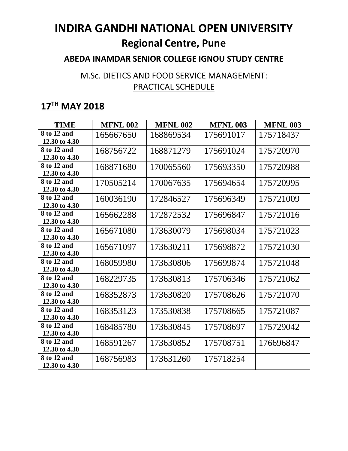#### **ABEDA INAMDAR SENIOR COLLEGE IGNOU STUDY CENTRE**

### M.Sc. DIETICS AND FOOD SERVICE MANAGEMENT: PRACTICAL SCHEDULE

| <b>TIME</b>                  | <b>MFNL 002</b> | <b>MFNL 002</b> | <b>MFNL 003</b> | <b>MFNL 003</b> |
|------------------------------|-----------------|-----------------|-----------------|-----------------|
| 8 to 12 and<br>12.30 to 4.30 | 165667650       | 168869534       | 175691017       | 175718437       |
| 8 to 12 and<br>12.30 to 4.30 | 168756722       | 168871279       | 175691024       | 175720970       |
| 8 to 12 and<br>12.30 to 4.30 | 168871680       | 170065560       | 175693350       | 175720988       |
| 8 to 12 and<br>12.30 to 4.30 | 170505214       | 170067635       | 175694654       | 175720995       |
| 8 to 12 and<br>12.30 to 4.30 | 160036190       | 172846527       | 175696349       | 175721009       |
| 8 to 12 and<br>12.30 to 4.30 | 165662288       | 172872532       | 175696847       | 175721016       |
| 8 to 12 and<br>12.30 to 4.30 | 165671080       | 173630079       | 175698034       | 175721023       |
| 8 to 12 and<br>12.30 to 4.30 | 165671097       | 173630211       | 175698872       | 175721030       |
| 8 to 12 and<br>12.30 to 4.30 | 168059980       | 173630806       | 175699874       | 175721048       |
| 8 to 12 and<br>12.30 to 4.30 | 168229735       | 173630813       | 175706346       | 175721062       |
| 8 to 12 and<br>12.30 to 4.30 | 168352873       | 173630820       | 175708626       | 175721070       |
| 8 to 12 and<br>12.30 to 4.30 | 168353123       | 173530838       | 175708665       | 175721087       |
| 8 to 12 and<br>12.30 to 4.30 | 168485780       | 173630845       | 175708697       | 175729042       |
| 8 to 12 and<br>12.30 to 4.30 | 168591267       | 173630852       | 175708751       | 176696847       |
| 8 to 12 and<br>12.30 to 4.30 | 168756983       | 173631260       | 175718254       |                 |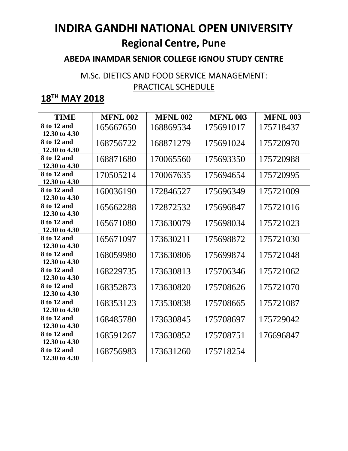#### **ABEDA INAMDAR SENIOR COLLEGE IGNOU STUDY CENTRE**

### M.Sc. DIETICS AND FOOD SERVICE MANAGEMENT: PRACTICAL SCHEDULE

| <b>TIME</b>                  | <b>MFNL 002</b> | <b>MFNL 002</b> | <b>MFNL 003</b> | <b>MFNL 003</b> |
|------------------------------|-----------------|-----------------|-----------------|-----------------|
| 8 to 12 and<br>12.30 to 4.30 | 165667650       | 168869534       | 175691017       | 175718437       |
| 8 to 12 and<br>12.30 to 4.30 | 168756722       | 168871279       | 175691024       | 175720970       |
| 8 to 12 and<br>12.30 to 4.30 | 168871680       | 170065560       | 175693350       | 175720988       |
| 8 to 12 and<br>12.30 to 4.30 | 170505214       | 170067635       | 175694654       | 175720995       |
| 8 to 12 and<br>12.30 to 4.30 | 160036190       | 172846527       | 175696349       | 175721009       |
| 8 to 12 and<br>12.30 to 4.30 | 165662288       | 172872532       | 175696847       | 175721016       |
| 8 to 12 and<br>12.30 to 4.30 | 165671080       | 173630079       | 175698034       | 175721023       |
| 8 to 12 and<br>12.30 to 4.30 | 165671097       | 173630211       | 175698872       | 175721030       |
| 8 to 12 and<br>12.30 to 4.30 | 168059980       | 173630806       | 175699874       | 175721048       |
| 8 to 12 and<br>12.30 to 4.30 | 168229735       | 173630813       | 175706346       | 175721062       |
| 8 to 12 and<br>12.30 to 4.30 | 168352873       | 173630820       | 175708626       | 175721070       |
| 8 to 12 and<br>12.30 to 4.30 | 168353123       | 173530838       | 175708665       | 175721087       |
| 8 to 12 and<br>12.30 to 4.30 | 168485780       | 173630845       | 175708697       | 175729042       |
| 8 to 12 and<br>12.30 to 4.30 | 168591267       | 173630852       | 175708751       | 176696847       |
| 8 to 12 and<br>12.30 to 4.30 | 168756983       | 173631260       | 175718254       |                 |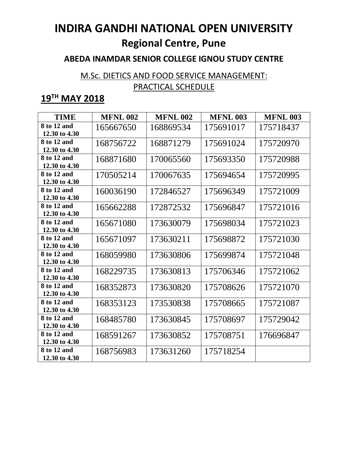#### **ABEDA INAMDAR SENIOR COLLEGE IGNOU STUDY CENTRE**

### M.Sc. DIETICS AND FOOD SERVICE MANAGEMENT: PRACTICAL SCHEDULE

| <b>TIME</b>                  | <b>MFNL 002</b> | <b>MFNL 002</b> | <b>MFNL 003</b> | <b>MFNL 003</b> |
|------------------------------|-----------------|-----------------|-----------------|-----------------|
| 8 to 12 and<br>12.30 to 4.30 | 165667650       | 168869534       | 175691017       | 175718437       |
| 8 to 12 and<br>12.30 to 4.30 | 168756722       | 168871279       | 175691024       | 175720970       |
| 8 to 12 and<br>12.30 to 4.30 | 168871680       | 170065560       | 175693350       | 175720988       |
| 8 to 12 and<br>12.30 to 4.30 | 170505214       | 170067635       | 175694654       | 175720995       |
| 8 to 12 and<br>12.30 to 4.30 | 160036190       | 172846527       | 175696349       | 175721009       |
| 8 to 12 and<br>12.30 to 4.30 | 165662288       | 172872532       | 175696847       | 175721016       |
| 8 to 12 and<br>12.30 to 4.30 | 165671080       | 173630079       | 175698034       | 175721023       |
| 8 to 12 and<br>12.30 to 4.30 | 165671097       | 173630211       | 175698872       | 175721030       |
| 8 to 12 and<br>12.30 to 4.30 | 168059980       | 173630806       | 175699874       | 175721048       |
| 8 to 12 and<br>12.30 to 4.30 | 168229735       | 173630813       | 175706346       | 175721062       |
| 8 to 12 and<br>12.30 to 4.30 | 168352873       | 173630820       | 175708626       | 175721070       |
| 8 to 12 and<br>12.30 to 4.30 | 168353123       | 173530838       | 175708665       | 175721087       |
| 8 to 12 and<br>12.30 to 4.30 | 168485780       | 173630845       | 175708697       | 175729042       |
| 8 to 12 and<br>12.30 to 4.30 | 168591267       | 173630852       | 175708751       | 176696847       |
| 8 to 12 and<br>12.30 to 4.30 | 168756983       | 173631260       | 175718254       |                 |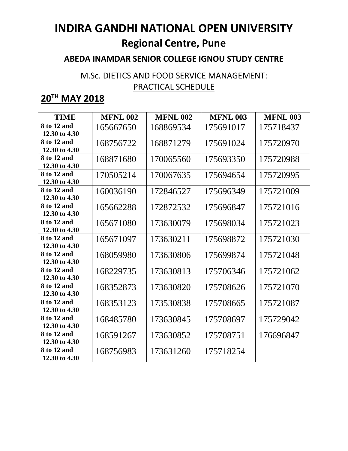#### **ABEDA INAMDAR SENIOR COLLEGE IGNOU STUDY CENTRE**

### M.Sc. DIETICS AND FOOD SERVICE MANAGEMENT: PRACTICAL SCHEDULE

| <b>TIME</b>                  | <b>MFNL 002</b> | <b>MFNL 002</b> | <b>MFNL 003</b> | <b>MFNL 003</b> |
|------------------------------|-----------------|-----------------|-----------------|-----------------|
| 8 to 12 and<br>12.30 to 4.30 | 165667650       | 168869534       | 175691017       | 175718437       |
| 8 to 12 and<br>12.30 to 4.30 | 168756722       | 168871279       | 175691024       | 175720970       |
| 8 to 12 and<br>12.30 to 4.30 | 168871680       | 170065560       | 175693350       | 175720988       |
| 8 to 12 and<br>12.30 to 4.30 | 170505214       | 170067635       | 175694654       | 175720995       |
| 8 to 12 and<br>12.30 to 4.30 | 160036190       | 172846527       | 175696349       | 175721009       |
| 8 to 12 and<br>12.30 to 4.30 | 165662288       | 172872532       | 175696847       | 175721016       |
| 8 to 12 and<br>12.30 to 4.30 | 165671080       | 173630079       | 175698034       | 175721023       |
| 8 to 12 and<br>12.30 to 4.30 | 165671097       | 173630211       | 175698872       | 175721030       |
| 8 to 12 and<br>12.30 to 4.30 | 168059980       | 173630806       | 175699874       | 175721048       |
| 8 to 12 and<br>12.30 to 4.30 | 168229735       | 173630813       | 175706346       | 175721062       |
| 8 to 12 and<br>12.30 to 4.30 | 168352873       | 173630820       | 175708626       | 175721070       |
| 8 to 12 and<br>12.30 to 4.30 | 168353123       | 173530838       | 175708665       | 175721087       |
| 8 to 12 and<br>12.30 to 4.30 | 168485780       | 173630845       | 175708697       | 175729042       |
| 8 to 12 and<br>12.30 to 4.30 | 168591267       | 173630852       | 175708751       | 176696847       |
| 8 to 12 and<br>12.30 to 4.30 | 168756983       | 173631260       | 175718254       |                 |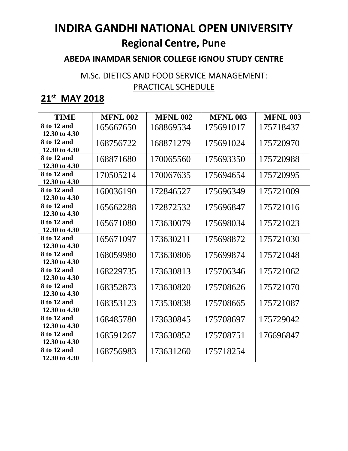#### **ABEDA INAMDAR SENIOR COLLEGE IGNOU STUDY CENTRE**

### M.Sc. DIETICS AND FOOD SERVICE MANAGEMENT: PRACTICAL SCHEDULE

## **21st MAY 2018**

| <b>TIME</b>                  | <b>MFNL 002</b> | <b>MFNL 002</b> | <b>MFNL 003</b> | <b>MFNL 003</b> |
|------------------------------|-----------------|-----------------|-----------------|-----------------|
| 8 to 12 and<br>12.30 to 4.30 | 165667650       | 168869534       | 175691017       | 175718437       |
| 8 to 12 and<br>12.30 to 4.30 | 168756722       | 168871279       | 175691024       | 175720970       |
| 8 to 12 and<br>12.30 to 4.30 | 168871680       | 170065560       | 175693350       | 175720988       |
| 8 to 12 and<br>12.30 to 4.30 | 170505214       | 170067635       | 175694654       | 175720995       |
| 8 to 12 and<br>12.30 to 4.30 | 160036190       | 172846527       | 175696349       | 175721009       |
| 8 to 12 and<br>12.30 to 4.30 | 165662288       | 172872532       | 175696847       | 175721016       |
| 8 to 12 and<br>12.30 to 4.30 | 165671080       | 173630079       | 175698034       | 175721023       |
| 8 to 12 and<br>12.30 to 4.30 | 165671097       | 173630211       | 175698872       | 175721030       |
| 8 to 12 and<br>12.30 to 4.30 | 168059980       | 173630806       | 175699874       | 175721048       |
| 8 to 12 and<br>12.30 to 4.30 | 168229735       | 173630813       | 175706346       | 175721062       |
| 8 to 12 and<br>12.30 to 4.30 | 168352873       | 173630820       | 175708626       | 175721070       |
| 8 to 12 and<br>12.30 to 4.30 | 168353123       | 173530838       | 175708665       | 175721087       |
| 8 to 12 and<br>12.30 to 4.30 | 168485780       | 173630845       | 175708697       | 175729042       |
| 8 to 12 and<br>12.30 to 4.30 | 168591267       | 173630852       | 175708751       | 176696847       |
| 8 to 12 and<br>12.30 to 4.30 | 168756983       | 173631260       | 175718254       |                 |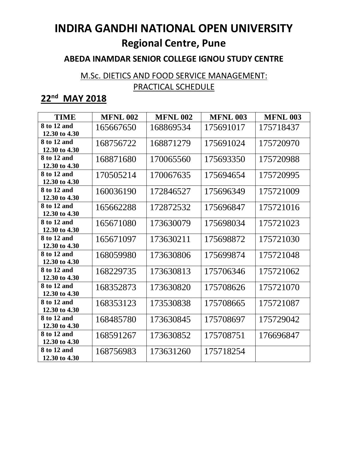#### **ABEDA INAMDAR SENIOR COLLEGE IGNOU STUDY CENTRE**

### M.Sc. DIETICS AND FOOD SERVICE MANAGEMENT: PRACTICAL SCHEDULE

## **22 nd MAY 2018**

| <b>TIME</b>                  | <b>MFNL 002</b> | <b>MFNL 002</b> | <b>MFNL 003</b> | <b>MFNL 003</b> |
|------------------------------|-----------------|-----------------|-----------------|-----------------|
| 8 to 12 and<br>12.30 to 4.30 | 165667650       | 168869534       | 175691017       | 175718437       |
| 8 to 12 and<br>12.30 to 4.30 | 168756722       | 168871279       | 175691024       | 175720970       |
| 8 to 12 and<br>12.30 to 4.30 | 168871680       | 170065560       | 175693350       | 175720988       |
| 8 to 12 and<br>12.30 to 4.30 | 170505214       | 170067635       | 175694654       | 175720995       |
| 8 to 12 and<br>12.30 to 4.30 | 160036190       | 172846527       | 175696349       | 175721009       |
| 8 to 12 and<br>12.30 to 4.30 | 165662288       | 172872532       | 175696847       | 175721016       |
| 8 to 12 and<br>12.30 to 4.30 | 165671080       | 173630079       | 175698034       | 175721023       |
| 8 to 12 and<br>12.30 to 4.30 | 165671097       | 173630211       | 175698872       | 175721030       |
| 8 to 12 and<br>12.30 to 4.30 | 168059980       | 173630806       | 175699874       | 175721048       |
| 8 to 12 and<br>12.30 to 4.30 | 168229735       | 173630813       | 175706346       | 175721062       |
| 8 to 12 and<br>12.30 to 4.30 | 168352873       | 173630820       | 175708626       | 175721070       |
| 8 to 12 and<br>12.30 to 4.30 | 168353123       | 173530838       | 175708665       | 175721087       |
| 8 to 12 and<br>12.30 to 4.30 | 168485780       | 173630845       | 175708697       | 175729042       |
| 8 to 12 and<br>12.30 to 4.30 | 168591267       | 173630852       | 175708751       | 176696847       |
| 8 to 12 and<br>12.30 to 4.30 | 168756983       | 173631260       | 175718254       |                 |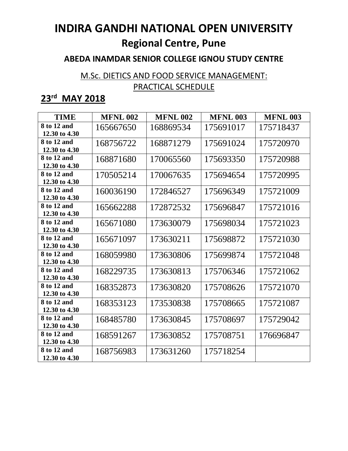#### **ABEDA INAMDAR SENIOR COLLEGE IGNOU STUDY CENTRE**

### M.Sc. DIETICS AND FOOD SERVICE MANAGEMENT: PRACTICAL SCHEDULE

## **23rd MAY 2018**

| <b>TIME</b>                  | <b>MFNL 002</b> | <b>MFNL 002</b> | <b>MFNL 003</b> | <b>MFNL 003</b> |
|------------------------------|-----------------|-----------------|-----------------|-----------------|
| 8 to 12 and<br>12.30 to 4.30 | 165667650       | 168869534       | 175691017       | 175718437       |
| 8 to 12 and<br>12.30 to 4.30 | 168756722       | 168871279       | 175691024       | 175720970       |
| 8 to 12 and<br>12.30 to 4.30 | 168871680       | 170065560       | 175693350       | 175720988       |
| 8 to 12 and<br>12.30 to 4.30 | 170505214       | 170067635       | 175694654       | 175720995       |
| 8 to 12 and<br>12.30 to 4.30 | 160036190       | 172846527       | 175696349       | 175721009       |
| 8 to 12 and<br>12.30 to 4.30 | 165662288       | 172872532       | 175696847       | 175721016       |
| 8 to 12 and<br>12.30 to 4.30 | 165671080       | 173630079       | 175698034       | 175721023       |
| 8 to 12 and<br>12.30 to 4.30 | 165671097       | 173630211       | 175698872       | 175721030       |
| 8 to 12 and<br>12.30 to 4.30 | 168059980       | 173630806       | 175699874       | 175721048       |
| 8 to 12 and<br>12.30 to 4.30 | 168229735       | 173630813       | 175706346       | 175721062       |
| 8 to 12 and<br>12.30 to 4.30 | 168352873       | 173630820       | 175708626       | 175721070       |
| 8 to 12 and<br>12.30 to 4.30 | 168353123       | 173530838       | 175708665       | 175721087       |
| 8 to 12 and<br>12.30 to 4.30 | 168485780       | 173630845       | 175708697       | 175729042       |
| 8 to 12 and<br>12.30 to 4.30 | 168591267       | 173630852       | 175708751       | 176696847       |
| 8 to 12 and<br>12.30 to 4.30 | 168756983       | 173631260       | 175718254       |                 |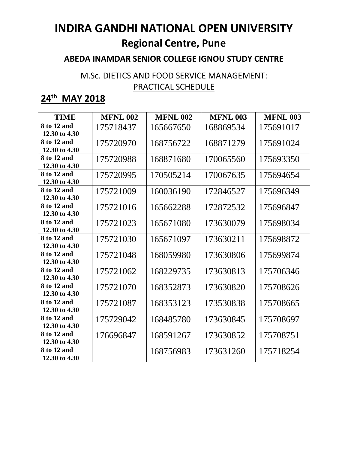#### **ABEDA INAMDAR SENIOR COLLEGE IGNOU STUDY CENTRE**

### M.Sc. DIETICS AND FOOD SERVICE MANAGEMENT: PRACTICAL SCHEDULE

| <b>TIME</b>                  | <b>MFNL 002</b> | <b>MFNL 002</b> | <b>MFNL 003</b> | <b>MFNL 003</b> |
|------------------------------|-----------------|-----------------|-----------------|-----------------|
| 8 to 12 and<br>12.30 to 4.30 | 175718437       | 165667650       | 168869534       | 175691017       |
| 8 to 12 and<br>12.30 to 4.30 | 175720970       | 168756722       | 168871279       | 175691024       |
| 8 to 12 and<br>12.30 to 4.30 | 175720988       | 168871680       | 170065560       | 175693350       |
| 8 to 12 and<br>12.30 to 4.30 | 175720995       | 170505214       | 170067635       | 175694654       |
| 8 to 12 and<br>12.30 to 4.30 | 175721009       | 160036190       | 172846527       | 175696349       |
| 8 to 12 and<br>12.30 to 4.30 | 175721016       | 165662288       | 172872532       | 175696847       |
| 8 to 12 and<br>12.30 to 4.30 | 175721023       | 165671080       | 173630079       | 175698034       |
| 8 to 12 and<br>12.30 to 4.30 | 175721030       | 165671097       | 173630211       | 175698872       |
| 8 to 12 and<br>12.30 to 4.30 | 175721048       | 168059980       | 173630806       | 175699874       |
| 8 to 12 and<br>12.30 to 4.30 | 175721062       | 168229735       | 173630813       | 175706346       |
| 8 to 12 and<br>12.30 to 4.30 | 175721070       | 168352873       | 173630820       | 175708626       |
| 8 to 12 and<br>12.30 to 4.30 | 175721087       | 168353123       | 173530838       | 175708665       |
| 8 to 12 and<br>12.30 to 4.30 | 175729042       | 168485780       | 173630845       | 175708697       |
| 8 to 12 and<br>12.30 to 4.30 | 176696847       | 168591267       | 173630852       | 175708751       |
| 8 to 12 and<br>12.30 to 4.30 |                 | 168756983       | 173631260       | 175718254       |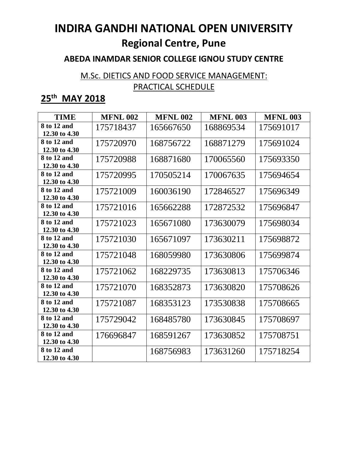#### **ABEDA INAMDAR SENIOR COLLEGE IGNOU STUDY CENTRE**

### M.Sc. DIETICS AND FOOD SERVICE MANAGEMENT: PRACTICAL SCHEDULE

| <b>TIME</b>                  | <b>MFNL 002</b> | <b>MFNL 002</b> | <b>MFNL 003</b> | <b>MFNL 003</b> |
|------------------------------|-----------------|-----------------|-----------------|-----------------|
| 8 to 12 and<br>12.30 to 4.30 | 175718437       | 165667650       | 168869534       | 175691017       |
| 8 to 12 and<br>12.30 to 4.30 | 175720970       | 168756722       | 168871279       | 175691024       |
| 8 to 12 and<br>12.30 to 4.30 | 175720988       | 168871680       | 170065560       | 175693350       |
| 8 to 12 and<br>12.30 to 4.30 | 175720995       | 170505214       | 170067635       | 175694654       |
| 8 to 12 and<br>12.30 to 4.30 | 175721009       | 160036190       | 172846527       | 175696349       |
| 8 to 12 and<br>12.30 to 4.30 | 175721016       | 165662288       | 172872532       | 175696847       |
| 8 to 12 and<br>12.30 to 4.30 | 175721023       | 165671080       | 173630079       | 175698034       |
| 8 to 12 and<br>12.30 to 4.30 | 175721030       | 165671097       | 173630211       | 175698872       |
| 8 to 12 and<br>12.30 to 4.30 | 175721048       | 168059980       | 173630806       | 175699874       |
| 8 to 12 and<br>12.30 to 4.30 | 175721062       | 168229735       | 173630813       | 175706346       |
| 8 to 12 and<br>12.30 to 4.30 | 175721070       | 168352873       | 173630820       | 175708626       |
| 8 to 12 and<br>12.30 to 4.30 | 175721087       | 168353123       | 173530838       | 175708665       |
| 8 to 12 and<br>12.30 to 4.30 | 175729042       | 168485780       | 173630845       | 175708697       |
| 8 to 12 and<br>12.30 to 4.30 | 176696847       | 168591267       | 173630852       | 175708751       |
| 8 to 12 and<br>12.30 to 4.30 |                 | 168756983       | 173631260       | 175718254       |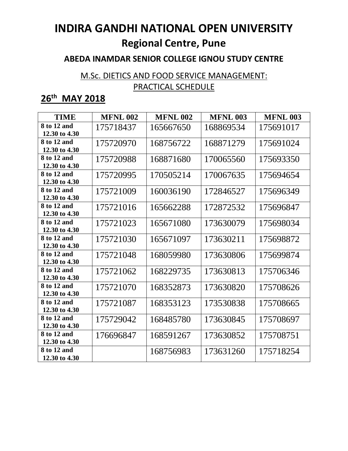#### **ABEDA INAMDAR SENIOR COLLEGE IGNOU STUDY CENTRE**

### M.Sc. DIETICS AND FOOD SERVICE MANAGEMENT: PRACTICAL SCHEDULE

| <b>TIME</b>                  | <b>MFNL 002</b> | <b>MFNL 002</b> | <b>MFNL 003</b> | <b>MFNL 003</b> |
|------------------------------|-----------------|-----------------|-----------------|-----------------|
| 8 to 12 and<br>12.30 to 4.30 | 175718437       | 165667650       | 168869534       | 175691017       |
| 8 to 12 and<br>12.30 to 4.30 | 175720970       | 168756722       | 168871279       | 175691024       |
| 8 to 12 and<br>12.30 to 4.30 | 175720988       | 168871680       | 170065560       | 175693350       |
| 8 to 12 and<br>12.30 to 4.30 | 175720995       | 170505214       | 170067635       | 175694654       |
| 8 to 12 and<br>12.30 to 4.30 | 175721009       | 160036190       | 172846527       | 175696349       |
| 8 to 12 and<br>12.30 to 4.30 | 175721016       | 165662288       | 172872532       | 175696847       |
| 8 to 12 and<br>12.30 to 4.30 | 175721023       | 165671080       | 173630079       | 175698034       |
| 8 to 12 and<br>12.30 to 4.30 | 175721030       | 165671097       | 173630211       | 175698872       |
| 8 to 12 and<br>12.30 to 4.30 | 175721048       | 168059980       | 173630806       | 175699874       |
| 8 to 12 and<br>12.30 to 4.30 | 175721062       | 168229735       | 173630813       | 175706346       |
| 8 to 12 and<br>12.30 to 4.30 | 175721070       | 168352873       | 173630820       | 175708626       |
| 8 to 12 and<br>12.30 to 4.30 | 175721087       | 168353123       | 173530838       | 175708665       |
| 8 to 12 and<br>12.30 to 4.30 | 175729042       | 168485780       | 173630845       | 175708697       |
| 8 to 12 and<br>12.30 to 4.30 | 176696847       | 168591267       | 173630852       | 175708751       |
| 8 to 12 and<br>12.30 to 4.30 |                 | 168756983       | 173631260       | 175718254       |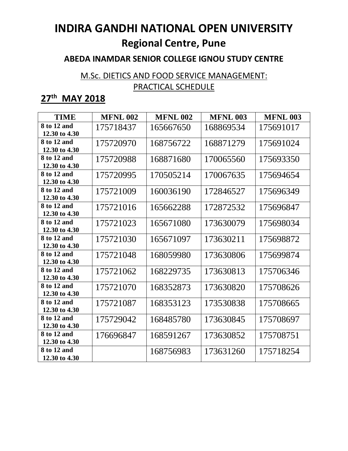#### **ABEDA INAMDAR SENIOR COLLEGE IGNOU STUDY CENTRE**

### M.Sc. DIETICS AND FOOD SERVICE MANAGEMENT: PRACTICAL SCHEDULE

| <b>TIME</b>                  | <b>MFNL 002</b> | <b>MFNL 002</b> | <b>MFNL 003</b> | <b>MFNL 003</b> |
|------------------------------|-----------------|-----------------|-----------------|-----------------|
| 8 to 12 and<br>12.30 to 4.30 | 175718437       | 165667650       | 168869534       | 175691017       |
| 8 to 12 and<br>12.30 to 4.30 | 175720970       | 168756722       | 168871279       | 175691024       |
| 8 to 12 and<br>12.30 to 4.30 | 175720988       | 168871680       | 170065560       | 175693350       |
| 8 to 12 and<br>12.30 to 4.30 | 175720995       | 170505214       | 170067635       | 175694654       |
| 8 to 12 and<br>12.30 to 4.30 | 175721009       | 160036190       | 172846527       | 175696349       |
| 8 to 12 and<br>12.30 to 4.30 | 175721016       | 165662288       | 172872532       | 175696847       |
| 8 to 12 and<br>12.30 to 4.30 | 175721023       | 165671080       | 173630079       | 175698034       |
| 8 to 12 and<br>12.30 to 4.30 | 175721030       | 165671097       | 173630211       | 175698872       |
| 8 to 12 and<br>12.30 to 4.30 | 175721048       | 168059980       | 173630806       | 175699874       |
| 8 to 12 and<br>12.30 to 4.30 | 175721062       | 168229735       | 173630813       | 175706346       |
| 8 to 12 and<br>12.30 to 4.30 | 175721070       | 168352873       | 173630820       | 175708626       |
| 8 to 12 and<br>12.30 to 4.30 | 175721087       | 168353123       | 173530838       | 175708665       |
| 8 to 12 and<br>12.30 to 4.30 | 175729042       | 168485780       | 173630845       | 175708697       |
| 8 to 12 and<br>12.30 to 4.30 | 176696847       | 168591267       | 173630852       | 175708751       |
| 8 to 12 and<br>12.30 to 4.30 |                 | 168756983       | 173631260       | 175718254       |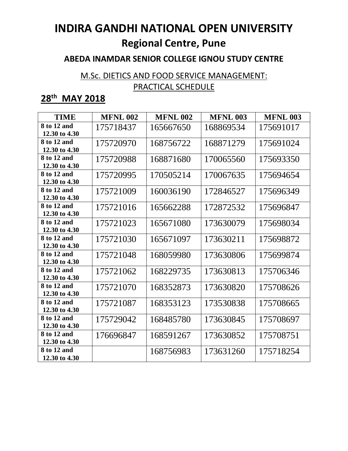#### **ABEDA INAMDAR SENIOR COLLEGE IGNOU STUDY CENTRE**

### M.Sc. DIETICS AND FOOD SERVICE MANAGEMENT: PRACTICAL SCHEDULE

| <b>TIME</b>                  | <b>MFNL 002</b> | <b>MFNL 002</b> | <b>MFNL 003</b> | <b>MFNL 003</b> |
|------------------------------|-----------------|-----------------|-----------------|-----------------|
| 8 to 12 and<br>12.30 to 4.30 | 175718437       | 165667650       | 168869534       | 175691017       |
| 8 to 12 and<br>12.30 to 4.30 | 175720970       | 168756722       | 168871279       | 175691024       |
| 8 to 12 and<br>12.30 to 4.30 | 175720988       | 168871680       | 170065560       | 175693350       |
| 8 to 12 and<br>12.30 to 4.30 | 175720995       | 170505214       | 170067635       | 175694654       |
| 8 to 12 and<br>12.30 to 4.30 | 175721009       | 160036190       | 172846527       | 175696349       |
| 8 to 12 and<br>12.30 to 4.30 | 175721016       | 165662288       | 172872532       | 175696847       |
| 8 to 12 and<br>12.30 to 4.30 | 175721023       | 165671080       | 173630079       | 175698034       |
| 8 to 12 and<br>12.30 to 4.30 | 175721030       | 165671097       | 173630211       | 175698872       |
| 8 to 12 and<br>12.30 to 4.30 | 175721048       | 168059980       | 173630806       | 175699874       |
| 8 to 12 and<br>12.30 to 4.30 | 175721062       | 168229735       | 173630813       | 175706346       |
| 8 to 12 and<br>12.30 to 4.30 | 175721070       | 168352873       | 173630820       | 175708626       |
| 8 to 12 and<br>12.30 to 4.30 | 175721087       | 168353123       | 173530838       | 175708665       |
| 8 to 12 and<br>12.30 to 4.30 | 175729042       | 168485780       | 173630845       | 175708697       |
| 8 to 12 and<br>12.30 to 4.30 | 176696847       | 168591267       | 173630852       | 175708751       |
| 8 to 12 and<br>12.30 to 4.30 |                 | 168756983       | 173631260       | 175718254       |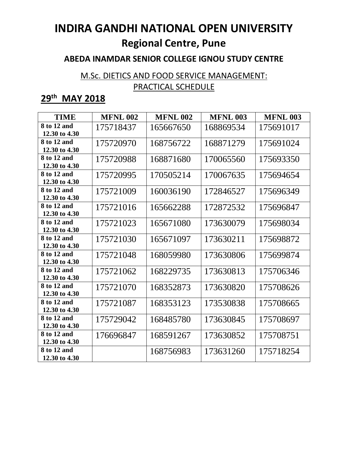#### **ABEDA INAMDAR SENIOR COLLEGE IGNOU STUDY CENTRE**

### M.Sc. DIETICS AND FOOD SERVICE MANAGEMENT: PRACTICAL SCHEDULE

| <b>TIME</b>                  | <b>MFNL 002</b> | <b>MFNL 002</b> | <b>MFNL 003</b> | <b>MFNL 003</b> |
|------------------------------|-----------------|-----------------|-----------------|-----------------|
| 8 to 12 and<br>12.30 to 4.30 | 175718437       | 165667650       | 168869534       | 175691017       |
| 8 to 12 and<br>12.30 to 4.30 | 175720970       | 168756722       | 168871279       | 175691024       |
| 8 to 12 and<br>12.30 to 4.30 | 175720988       | 168871680       | 170065560       | 175693350       |
| 8 to 12 and<br>12.30 to 4.30 | 175720995       | 170505214       | 170067635       | 175694654       |
| 8 to 12 and<br>12.30 to 4.30 | 175721009       | 160036190       | 172846527       | 175696349       |
| 8 to 12 and<br>12.30 to 4.30 | 175721016       | 165662288       | 172872532       | 175696847       |
| 8 to 12 and<br>12.30 to 4.30 | 175721023       | 165671080       | 173630079       | 175698034       |
| 8 to 12 and<br>12.30 to 4.30 | 175721030       | 165671097       | 173630211       | 175698872       |
| 8 to 12 and<br>12.30 to 4.30 | 175721048       | 168059980       | 173630806       | 175699874       |
| 8 to 12 and<br>12.30 to 4.30 | 175721062       | 168229735       | 173630813       | 175706346       |
| 8 to 12 and<br>12.30 to 4.30 | 175721070       | 168352873       | 173630820       | 175708626       |
| 8 to 12 and<br>12.30 to 4.30 | 175721087       | 168353123       | 173530838       | 175708665       |
| 8 to 12 and<br>12.30 to 4.30 | 175729042       | 168485780       | 173630845       | 175708697       |
| 8 to 12 and<br>12.30 to 4.30 | 176696847       | 168591267       | 173630852       | 175708751       |
| 8 to 12 and<br>12.30 to 4.30 |                 | 168756983       | 173631260       | 175718254       |